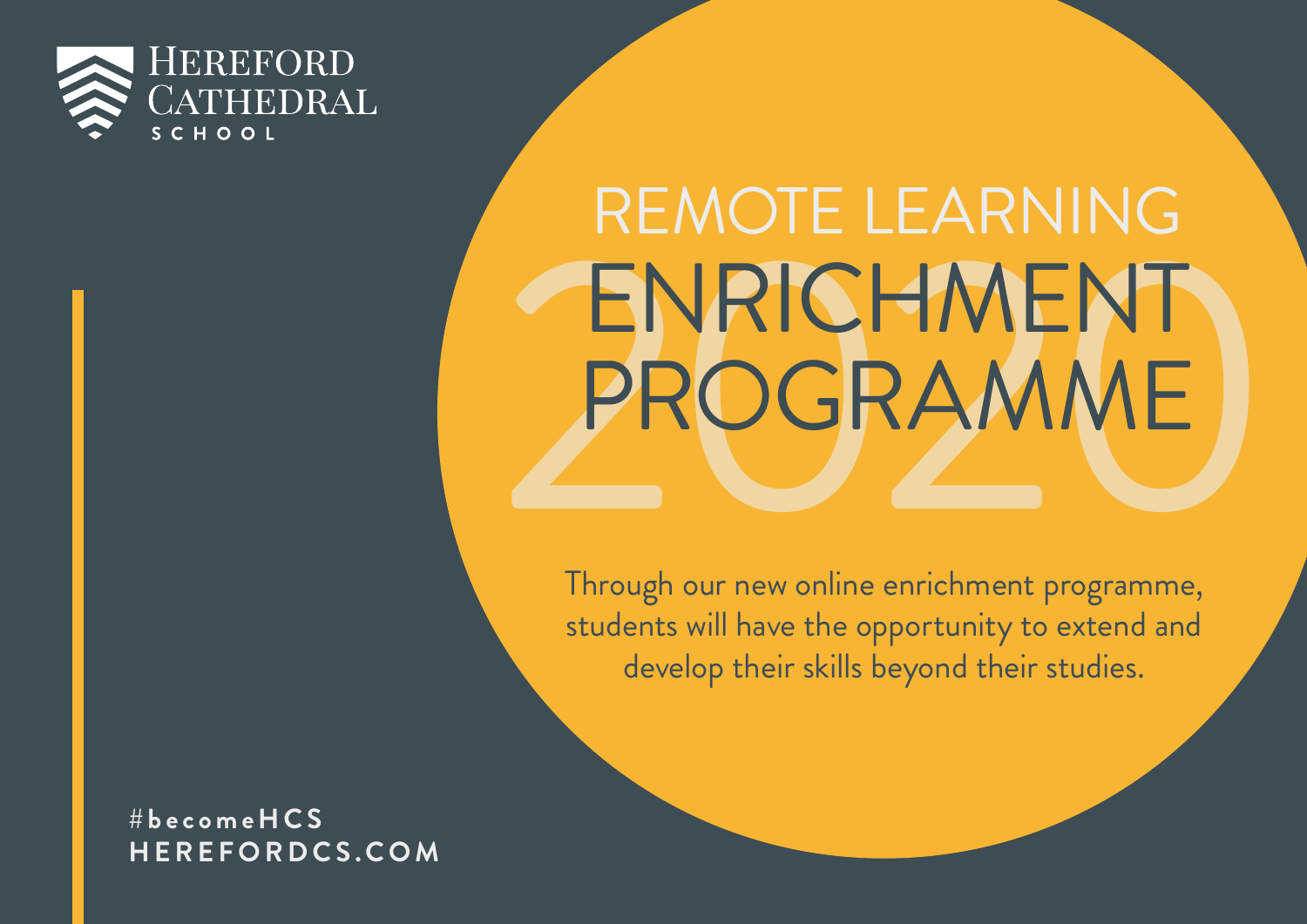

# ENRICHMENT<br>PROGRAMME REMOTE LEARNING ENRICHMENT PROGRAMME

Through our new online enrichment programme, students will have the opportunity to extend and develop their skills beyond their studies.

**#becomeHCS HEREFORDCS.COM**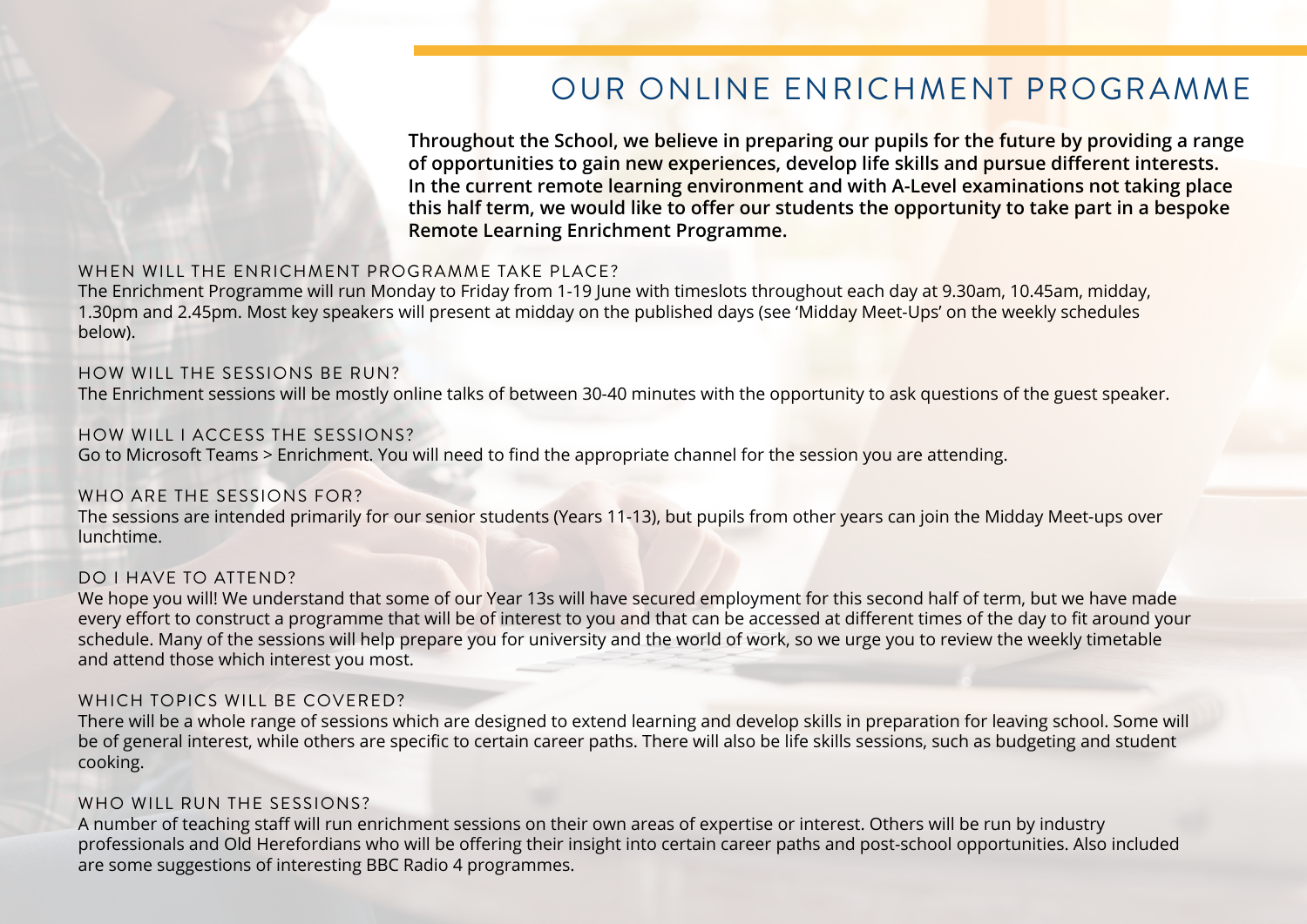# OUR ONLINE ENRICHMENT PROGRAMME

**Throughout the School, we believe in preparing our pupils for the future by providing a range of opportunities to gain new experiences, develop life skills and pursue different interests. In the current remote learning environment and with A-Level examinations not taking place this half term, we would like to offer our students the opportunity to take part in a bespoke Remote Learning Enrichment Programme.** 

#### WHEN WILL THE ENRICHMENT PROGRAMME TAKE PLACE?

The Enrichment Programme will run Monday to Friday from 1-19 June with timeslots throughout each day at 9.30am, 10.45am, midday, 1.30pm and 2.45pm. Most key speakers will present at midday on the published days (see 'Midday Meet-Ups' on the weekly schedules below).

#### HOW WILL THE SESSIONS BE RUN? The Enrichment sessions will be mostly online talks of between 30-40 minutes with the opportunity to ask questions of the guest speaker.

HOW WILL I ACCESS THE SESSIONS? Go to Microsoft Teams > Enrichment. You will need to find the appropriate channel for the session you are attending.

#### WHO ARE THE SESSIONS FOR? The sessions are intended primarily for our senior students (Years 11-13), but pupils from other years can join the Midday Meet-ups over lunchtime.

#### DO I HAVE TO ATTEND?

We hope you will! We understand that some of our Year 13s will have secured employment for this second half of term, but we have made every effort to construct a programme that will be of interest to you and that can be accessed at different times of the day to fit around your schedule. Many of the sessions will help prepare you for university and the world of work, so we urge you to review the weekly timetable and attend those which interest you most.

#### WHICH TOPICS WILL BE COVERED?

There will be a whole range of sessions which are designed to extend learning and develop skills in preparation for leaving school. Some will be of general interest, while others are specific to certain career paths. There will also be life skills sessions, such as budgeting and student cooking.

#### WHO WILL RUN THE SESSIONS?

A number of teaching staff will run enrichment sessions on their own areas of expertise or interest. Others will be run by industry professionals and Old Herefordians who will be offering their insight into certain career paths and post-school opportunities. Also included are some suggestions of interesting BBC Radio 4 programmes.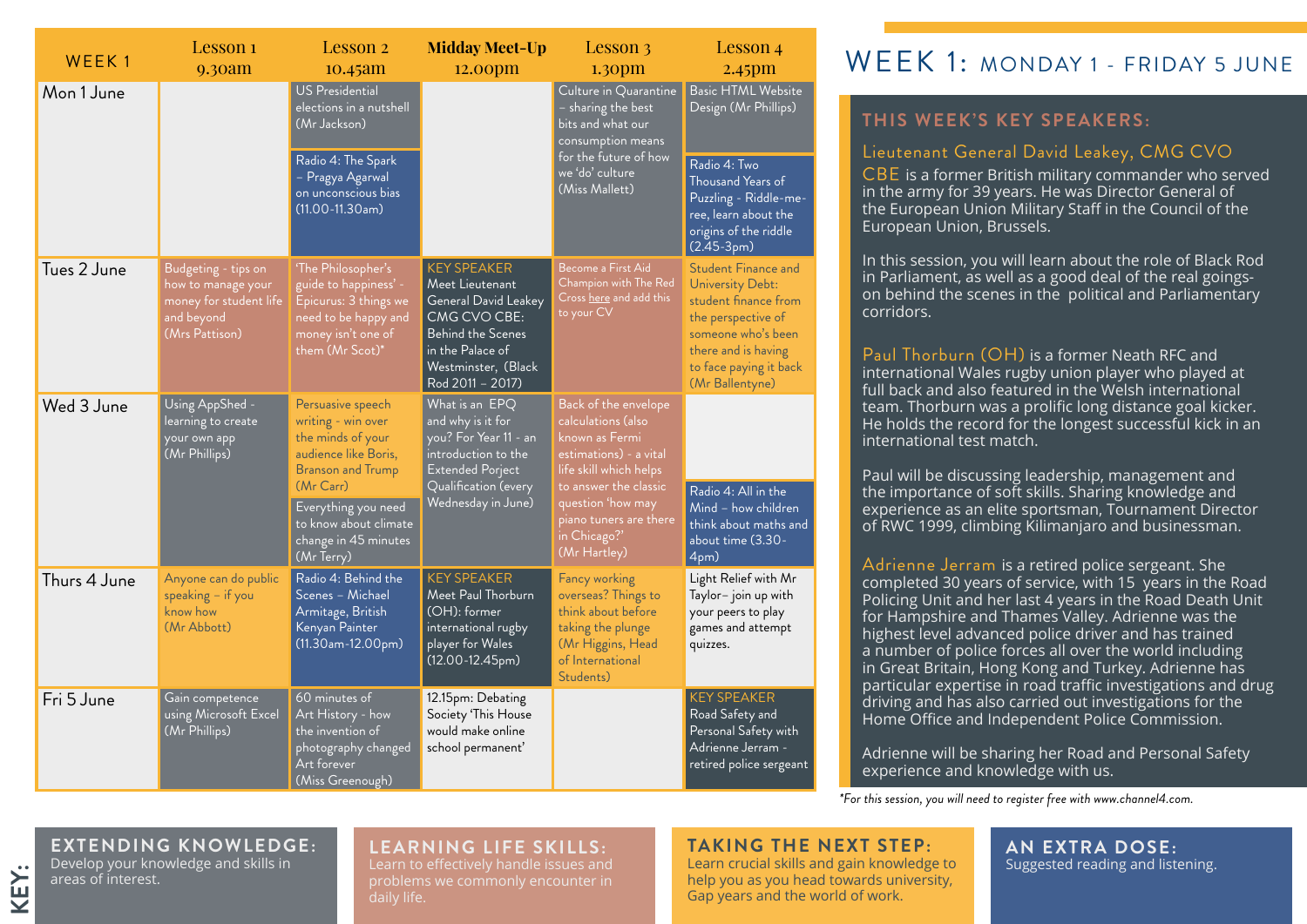| WEEK <sub>1</sub> | Lesson 1<br>9.30am                                                                                  | Lesson 2<br>10.45am                                                                                                                                                                                                   | <b>Midday Meet-Up</b><br>12.00pm                                                                                                                                         | Lesson 3<br>1.30 <sub>pm</sub>                                                                                                                                                                                           | Lesson 4<br>$2.45$ pm                                                                                                                                                                  |
|-------------------|-----------------------------------------------------------------------------------------------------|-----------------------------------------------------------------------------------------------------------------------------------------------------------------------------------------------------------------------|--------------------------------------------------------------------------------------------------------------------------------------------------------------------------|--------------------------------------------------------------------------------------------------------------------------------------------------------------------------------------------------------------------------|----------------------------------------------------------------------------------------------------------------------------------------------------------------------------------------|
| Mon 1 June        |                                                                                                     | <b>US Presidential</b><br>elections in a nutshell<br>(Mr Jackson)<br>Radio 4: The Spark<br>- Pragya Agarwal<br>on unconscious bias<br>$(11.00 - 11.30$ am)                                                            |                                                                                                                                                                          | Culture in Quarantine<br>- sharing the best<br>bits and what our<br>consumption means<br>for the future of how<br>we 'do' culture<br>(Miss Mallett)                                                                      | <b>Basic HTML Website</b><br>Design (Mr Phillips)<br>Radio 4: Two<br>Thousand Years of<br>Puzzling - Riddle-me-<br>ree, learn about the<br>origins of the riddle<br>$(2.45-3pm)$       |
| Tues 2 June       | Budgeting - tips on<br>how to manage your<br>money for student life<br>and beyond<br>(Mrs Pattison) | 'The Philosopher's<br>guide to happiness' -<br>Epicurus: 3 things we<br>need to be happy and<br>money isn't one of<br>them (Mr Scot)*                                                                                 | <b>KEY SPEAKER</b><br>Meet Lieutenant<br>General David Leakey<br>CMG CVO CBE:<br><b>Behind the Scenes</b><br>in the Palace of<br>Westminster, (Black<br>Rod 2011 - 2017) | Become a First Aid<br>Champion with The Red<br>Cross <u>here</u> and add this<br>to your CV                                                                                                                              | <b>Student Finance and</b><br>University Debt:<br>student finance from<br>the perspective of<br>someone who's been<br>there and is having<br>to face paying it back<br>(Mr Ballentyne) |
| Wed 3 June        | Using AppShed -<br>learning to create<br>your own app<br>(Mr Phillips)                              | Persuasive speech<br>writing - win over<br>the minds of your<br>audience like Boris,<br><b>Branson and Trump</b><br>$(Mr$ Carr)<br>Everything you need<br>to know about climate<br>change in 45 minutes<br>(Mr Terry) | What is an EPQ<br>and why is it for<br>you? For Year 11 - an<br>introduction to the<br><b>Extended Porject</b><br>Qualification (every<br>Wednesday in June)             | Back of the envelope<br>calculations (also<br>known as Fermi<br>estimations) - a vital<br>life skill which helps<br>to answer the classic<br>question 'how may<br>piano tuners are there<br>in Chicago?'<br>(Mr Hartley) | Radio 4: All in the<br>Mind - how children<br>think about maths and<br>about time (3.30-<br>4pm)                                                                                       |
| Thurs 4 June      | Anyone can do public<br>speaking $-$ if you<br>know how<br>(Mr Abbott)                              | Radio 4: Behind the<br>Scenes - Michael<br>Armitage, British<br>Kenyan Painter<br>$(11.30am-12.00pm)$                                                                                                                 | <b>KEY SPEAKER</b><br>Meet Paul Thorburn<br>(OH): former<br>international rugby<br>player for Wales<br>$(12.00 - 12.45pm)$                                               | Fancy working<br>overseas? Things to<br>think about before<br>taking the plunge<br>(Mr Higgins, Head<br>of International<br>Students)                                                                                    | Light Relief with Mr<br>Taylor-join up with<br>your peers to play<br>games and attempt<br>quizzes.                                                                                     |
| Fri 5 June        | Gain competence<br>using Microsoft Excel<br>(Mr Phillips)                                           | 60 minutes of<br>Art History - how<br>the invention of<br>photography changed<br>Art forever<br>(Miss Greenough)                                                                                                      | 12.15pm: Debating<br>Society 'This House<br>would make online<br>school permanent'                                                                                       |                                                                                                                                                                                                                          | <b>KEY SPEAKER</b><br>Road Safety and<br>Personal Safety with<br>Adrienne Jerram -<br>retired police sergeant                                                                          |

## WEEK 1. MONDAY 1 - FRIDAY 5 JUNE

#### **THIS WEEK'S KEY SPEAKERS:**

#### Lieutenant General David Leakey, CMG CVO

CBE is a former British military commander who served in the army for 39 years. He was Director General of the European Union Military Staff in the Council of the European Union, Brussels.

In this session, you will learn about the role of Black Rod in Parliament, as well as a good deal of the real goingson behind the scenes in the political and Parliamentary corridors.

Paul Thorburn (OH) is a former Neath RFC and international Wales rugby union player who played at full back and also featured in the Welsh international team. Thorburn was a prolific long distance goal kicker. He holds the record for the longest successful kick in an international test match.

Paul will be discussing leadership, management and the importance of soft skills. Sharing knowledge and experience as an elite sportsman, Tournament Director of RWC 1999, climbing Kilimanjaro and businessman.

Adrienne Jerram is a retired police sergeant. She completed 30 years of service, with 15 years in the Road Policing Unit and her last 4 years in the Road Death Unit for Hampshire and Thames Valley. Adrienne was the highest level advanced police driver and has trained a number of police forces all over the world including in Great Britain, Hong Kong and Turkey. Adrienne has particular expertise in road traffic investigations and drug driving and has also carried out investigations for the Home Office and Independent Police Commission.

Adrienne will be sharing her Road and Personal Safety experience and knowledge with us.

*\*For this session, you will need to register free with www.channel4.com.*

# **EXTENDING KNOWLEDGE:**

Develop your knowledge and skills in areas of interest.

**KEY:**

#### **LEARNING LIFE SKILLS:**

Learn to effectively handle issues and problems we commonly encounter in daily life.

#### **TAKING THE NEXT STEP:**

Learn crucial skills and gain knowledge to help you as you head towards university, Gap years and the world of work.

#### **AN EXTRA DOSE:**  Suggested reading and listening.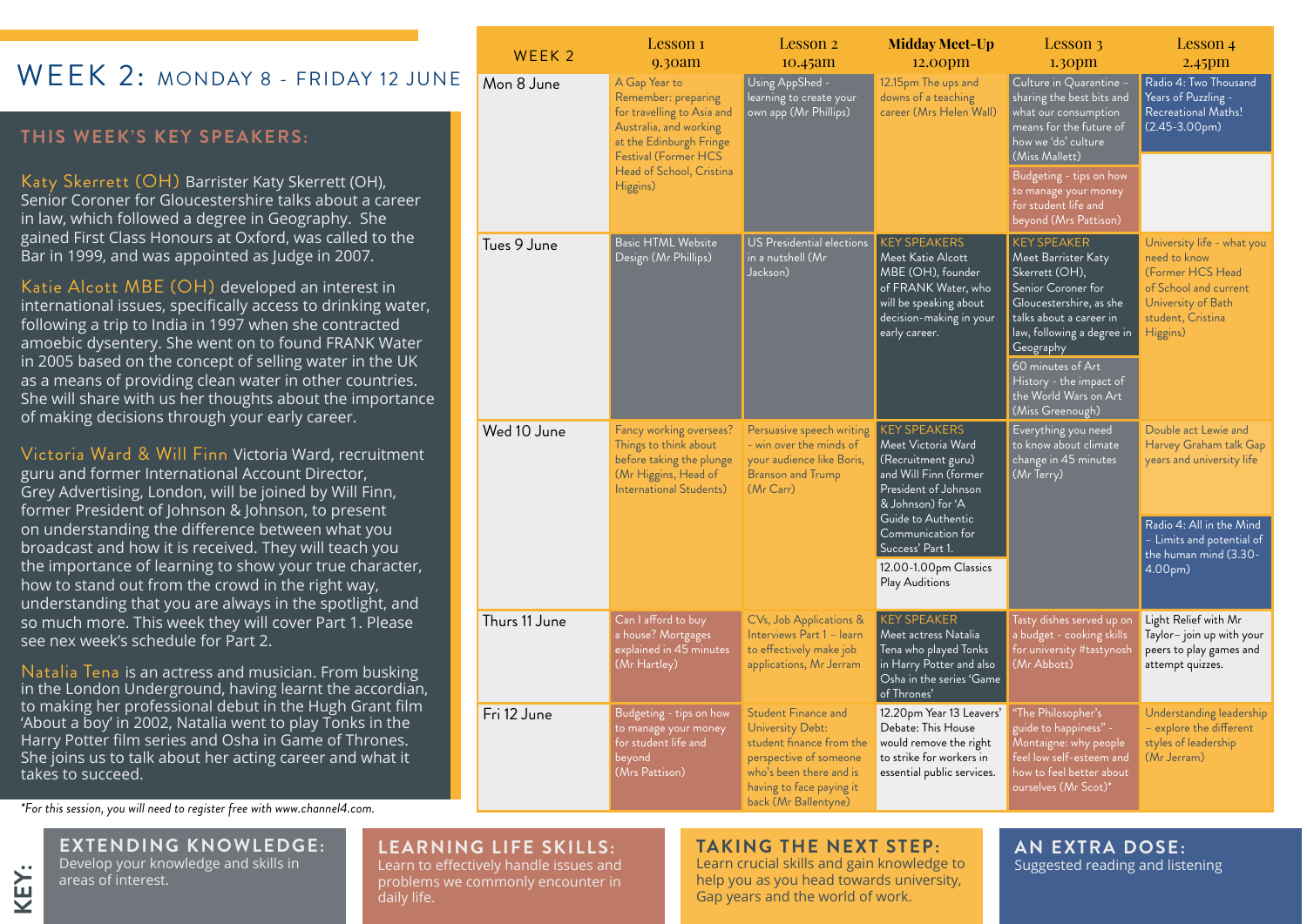## WFFK 2: MONDAY 8 - FRIDAY 12 JUN

#### **THIS WEEK'S KEY SPEAKERS:**

Katy Skerrett (OH) Barrister Katy Skerrett (OH), Senior Coroner for Gloucestershire talks about a career in law, which followed a degree in Geography. She gained First Class Honours at Oxford, was called to the Bar in 1999, and was appointed as Judge in 2007.

Katie Alcott MBE (OH) developed an interest in international issues, specifically access to drinking water, following a trip to India in 1997 when she contracted amoebic dysentery. She went on to found FRANK Water in 2005 based on the concept of selling water in the UK as a means of providing clean water in other countries. She will share with us her thoughts about the importance of making decisions through your early career.

Victoria Ward & Will Finn Victoria Ward, recruitment guru and former International Account Director, Grey Advertising, London, will be joined by Will Finn, former President of Johnson & Johnson, to present on understanding the difference between what you broadcast and how it is received. They will teach you the importance of learning to show your true character, how to stand out from the crowd in the right way, understanding that you are always in the spotlight, and so much more. This week they will cover Part 1. Please see nex week's schedule for Part 2.

Natalia Tena is an actress and musician. From busking in the London Underground, having learnt the accordian, to making her professional debut in the Hugh Grant film 'About a boy' in 2002, Natalia went to play Tonks in the Harry Potter film series and Osha in Game of Thrones. She joins us to talk about her acting career and what it takes to succeed.

*\*For this session, you will need to register free with www.channel4.com.*

**EXTENDING KNOWLEDGE:**  Develop your knowledge and skills in

areas of interest.

#### **LEARNING LIFE SKILLS:**

Learn to effectively handle issues and problems we commonly encounter in daily life.

#### **TAKING THE NEXT STEP:**

Learn crucial skills and gain knowledge to help you as you head towards university, Gap years and the world of work.

**AN EXTRA DOSE:**  Suggested reading and listening

| WEEK <sub>2</sub> | Lesson 1<br>9.30am                                                                                                                                                                             | Lesson 2<br>$10.45$ am                                                                                                                                                              | <b>Midday Meet-Up</b><br>12.00pm                                                                                                                                                                                                                | Lesson 3<br>1.30 <sub>pm</sub>                                                                                                                                                                                                                                                  | Lesson 4<br>$2.45$ pm                                                                                                                                                    |
|-------------------|------------------------------------------------------------------------------------------------------------------------------------------------------------------------------------------------|-------------------------------------------------------------------------------------------------------------------------------------------------------------------------------------|-------------------------------------------------------------------------------------------------------------------------------------------------------------------------------------------------------------------------------------------------|---------------------------------------------------------------------------------------------------------------------------------------------------------------------------------------------------------------------------------------------------------------------------------|--------------------------------------------------------------------------------------------------------------------------------------------------------------------------|
| Mon 8 June        | A Gap Year to<br>Remember: preparing<br>for travelling to Asia and<br>Australia, and working<br>at the Edinburgh Fringe<br><b>Festival (Former HCS</b><br>Head of School, Cristina<br>Higgins) | Using AppShed -<br>learning to create your<br>own app (Mr Phillips)                                                                                                                 | 12.15pm The ups and<br>downs of a teaching<br>career (Mrs Helen Wall)                                                                                                                                                                           | Culture in Quarantine -<br>sharing the best bits and<br>what our consumption<br>means for the future of<br>how we 'do' culture<br>(Miss Mallett)                                                                                                                                | Radio 4: Two Thousand<br>Years of Puzzling -<br>Recreational Maths!<br>$(2.45-3.00pm)$                                                                                   |
|                   |                                                                                                                                                                                                |                                                                                                                                                                                     |                                                                                                                                                                                                                                                 | Budgeting - tips on how<br>to manage your money<br>for student life and<br>beyond (Mrs Pattison)                                                                                                                                                                                |                                                                                                                                                                          |
| Tues 9 June       | <b>Basic HTML Website</b><br>Design (Mr Phillips)                                                                                                                                              | US Presidential elections<br>in a nutshell (Mr<br>Jackson)                                                                                                                          | <b>KEY SPEAKERS</b><br>Meet Katie Alcott<br>MBE (OH), founder<br>of FRANK Water, who<br>will be speaking about<br>decision-making in your<br>early career.                                                                                      | <b>KEY SPEAKER</b><br>Meet Barrister Katy<br>Skerrett (OH),<br>Senior Coroner for<br>Gloucestershire, as she<br>talks about a career in<br>law, following a degree in<br>Geography<br>60 minutes of Art<br>History - the impact of<br>the World Wars on Art<br>(Miss Greenough) | University life - what you<br>need to know<br>(Former HCS Head<br>of School and current<br>University of Bath<br>student, Cristina<br>Higgins)                           |
| Wed 10 June       | Fancy working overseas?<br>Things to think about<br>before taking the plunge<br>(Mr Higgins, Head of<br><b>International Students)</b>                                                         | Persuasive speech writing<br>- win over the minds of<br>your audience like Boris,<br><b>Branson and Trump</b><br>(Mr Carr)                                                          | <b>KEY SPEAKERS</b><br>Meet Victoria Ward<br>(Recruitment guru)<br>and Will Finn (former<br>President of Johnson<br>& Johnson) for 'A<br>Guide to Authentic<br>Communication for<br>Success' Part 1.<br>12.00-1.00pm Classics<br>Play Auditions | Everything you need<br>to know about climate<br>change in 45 minutes<br>(Mr Terry)                                                                                                                                                                                              | Double act Lewie and<br>Harvey Graham talk Gap<br>years and university life<br>Radio 4: All in the Mind<br>- Limits and potential of<br>the human mind (3.30-<br>4.00pm) |
| Thurs 11 June     | Can I afford to buy<br>a house? Mortgages<br>explained in 45 minutes<br>(Mr Hartley)                                                                                                           | CVs, Job Applications &<br>Interviews Part 1 - learn<br>to effectively make job<br>applications, Mr Jerram                                                                          | <b>KEY SPEAKER</b><br>Meet actress Natalia<br>Tena who played Tonks<br>in Harry Potter and also<br>Osha in the series 'Game<br>of Thrones'                                                                                                      | Tasty dishes served up on<br>a budget - cooking skills<br>for university #tastynosh<br>(Mr Abbott)                                                                                                                                                                              | Light Relief with Mr<br>Taylor-join up with your<br>peers to play games and<br>attempt quizzes.                                                                          |
| Fri 12 June       | Budgeting - tips on how<br>to manage your money<br>for student life and<br>beyond<br>(Mrs Pattison)                                                                                            | <b>Student Finance and</b><br>University Debt:<br>student finance from the<br>perspective of someone<br>who's been there and is<br>having to face paying it<br>back (Mr Ballentyne) | 12.20pm Year 13 Leavers'<br>Debate: This House<br>would remove the right<br>to strike for workers in<br>essential public services.                                                                                                              | "The Philosopher's<br>guide to happiness" -<br>Montaigne: why people<br>feel low self-esteem and<br>how to feel better about<br>ourselves (Mr Scot)*                                                                                                                            | Understanding leadership<br>- explore the different<br>styles of leadership<br>(Mr Jerram)                                                                               |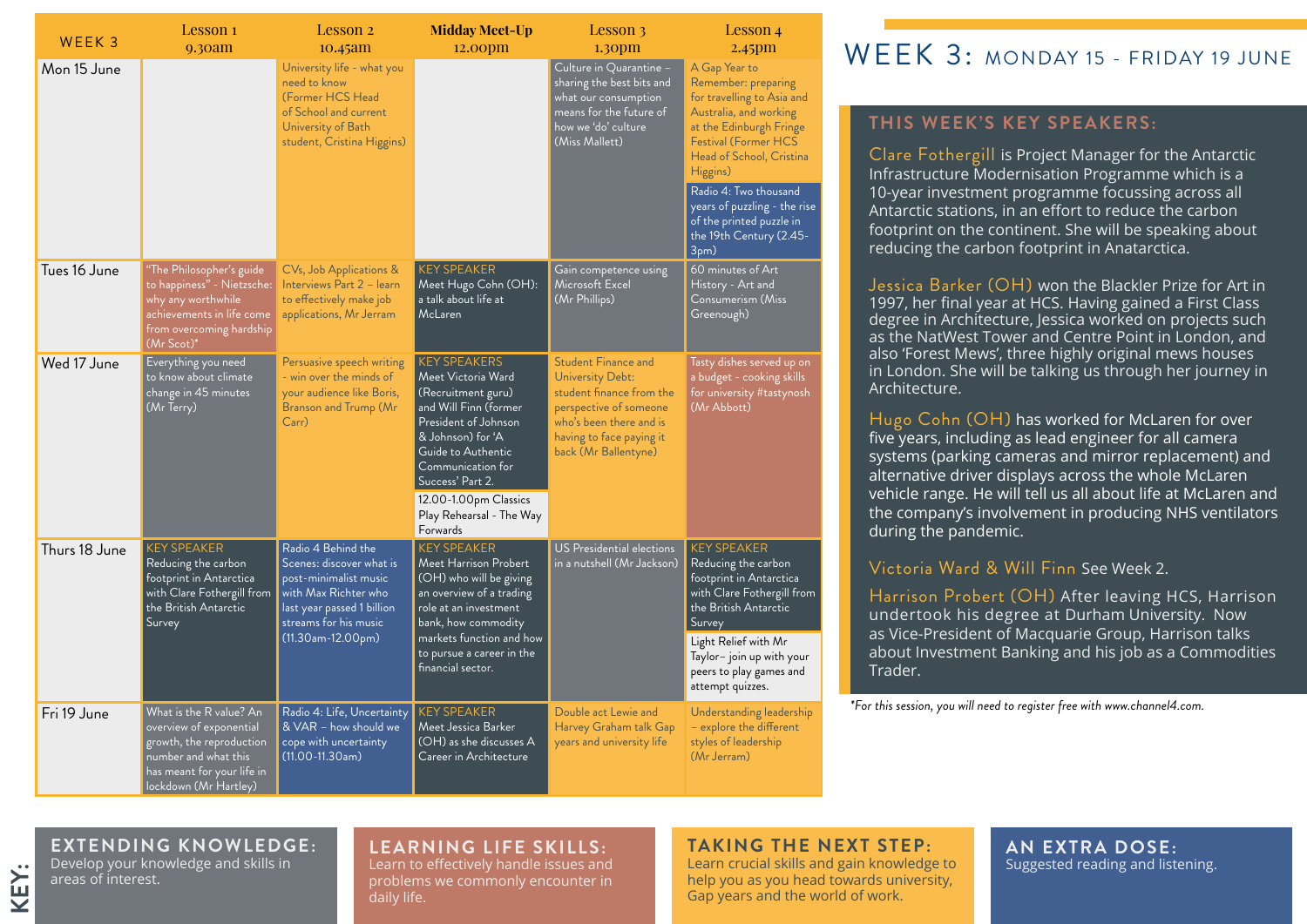| WEEK <sub>3</sub> | Lesson 1<br>9.30am                                                                                                                                            | Lesson 2<br>10.45am                                                                                                                                                           | <b>Midday Meet-Up</b><br>12.00 <sub>pm</sub>                                                                                                                                                                                                              | Lesson 3<br>1.30 <sub>pm</sub>                                                                                                                                                      | Lesson 4<br>$2.45$ pm                                                                                                                                                                                                                                                                                           |
|-------------------|---------------------------------------------------------------------------------------------------------------------------------------------------------------|-------------------------------------------------------------------------------------------------------------------------------------------------------------------------------|-----------------------------------------------------------------------------------------------------------------------------------------------------------------------------------------------------------------------------------------------------------|-------------------------------------------------------------------------------------------------------------------------------------------------------------------------------------|-----------------------------------------------------------------------------------------------------------------------------------------------------------------------------------------------------------------------------------------------------------------------------------------------------------------|
| Mon 15 June       |                                                                                                                                                               | University life - what you<br>need to know<br>(Former HCS Head<br>of School and current<br>University of Bath<br>student, Cristina Higgins)                                   |                                                                                                                                                                                                                                                           | Culture in Quarantine -<br>sharing the best bits and<br>what our consumption<br>means for the future of<br>how we 'do' culture<br>(Miss Mallett)                                    | A Gap Year to<br>Remember: preparing<br>for travelling to Asia and<br>Australia, and working<br>at the Edinburgh Fringe<br>Festival (Former HCS<br>Head of School, Cristina<br>Higgins)<br>Radio 4: Two thousand<br>years of puzzling - the rise<br>of the printed puzzle in<br>the 19th Century (2.45-<br>3pm) |
| Tues 16 June      | "The Philosopher's guide<br>to happiness" - Nietzsche:<br>why any worthwhile<br>achievements in life come<br>from overcoming hardship<br>(Mr Scot)*           | CVs, Job Applications &<br>Interviews Part 2 - learn<br>to effectively make job<br>applications, Mr Jerram                                                                    | <b>KEY SPEAKER</b><br>Meet Hugo Cohn (OH):<br>a talk about life at<br><b>McLaren</b>                                                                                                                                                                      | Gain competence using<br>Microsoft Excel<br>(Mr Phillips)                                                                                                                           | 60 minutes of Art<br>History - Art and<br>Consumerism (Miss<br>Greenough)                                                                                                                                                                                                                                       |
| Wed 17 June       | Everything you need<br>to know about climate<br>change in 45 minutes<br>(Mr Terry)                                                                            | Persuasive speech writing<br>- win over the minds of<br>your audience like Boris,<br>Branson and Trump (Mr<br>Carr                                                            | <b>KEY SPEAKERS</b><br>Meet Victoria Ward<br>(Recruitment guru)<br>and Will Finn (former<br>President of Johnson<br>& Johnson) for 'A<br>Guide to Authentic<br>Communication for<br>Success' Part 2.<br>12.00-1.00pm Classics<br>Play Rehearsal - The Way | <b>Student Finance and</b><br>University Debt:<br>student finance from the<br>perspective of someone<br>who's been there and is<br>having to face paying it<br>back (Mr Ballentyne) | Tasty dishes served up on<br>a budget - cooking skills<br>for university #tastynosh<br>(Mr Abbott)                                                                                                                                                                                                              |
| Thurs 18 June     | <b>KEY SPEAKER</b><br>Reducing the carbon<br>footprint in Antarctica<br>with Clare Fothergill from<br>the British Antarctic<br>Survey                         | Radio 4 Behind the<br>Scenes: discover what is<br>post-minimalist music<br>with Max Richter who<br>last year passed 1 billion<br>streams for his music<br>$(11.30am-12.00pm)$ | Forwards<br><b>KEY SPEAKER</b><br><b>Meet Harrison Probert</b><br>(OH) who will be giving<br>an overview of a trading<br>role at an investment<br>bank, how commodity<br>markets function and how<br>to pursue a career in the<br>financial sector.       | US Presidential elections<br>in a nutshell (Mr Jackson)                                                                                                                             | <b>KEY SPEAKER</b><br>Reducing the carbon<br>footprint in Antarctica<br>with Clare Fothergill from<br>the British Antarctic<br>Survey<br>Light Relief with Mr<br>Taylor- join up with your<br>peers to play games and<br>attempt quizzes.                                                                       |
| Fri 19 June       | What is the R value? An<br>overview of exponential<br>growth, the reproduction<br>number and what this<br>has meant for your life in<br>lockdown (Mr Hartley) | Radio 4: Life, Uncertainty<br>& VAR - how should we<br>cope with uncertainty<br>$(11.00 - 11.30$ am)                                                                          | <b>KEY SPEAKER</b><br>Meet Jessica Barker<br>(OH) as she discusses A<br>Career in Architecture                                                                                                                                                            | Double act Lewie and<br>Harvey Graham talk Gap<br>years and university life                                                                                                         | Understanding leadership<br>- explore the different<br>styles of leadership<br>(Mr Jerram)                                                                                                                                                                                                                      |

## WEEK 3: MONDAY 15 - FRIDAY 19 JUNE

#### **THIS WEEK'S KEY SPEAKERS:**

Clare Fothergill is Project Manager for the Antarctic **KEY SPEAKERS:** Infrastructure Modernisation Programme which is a Lieutenant General David Leakey, CMG CVO CBE footprint on the continent. She will be speaking about Lieutenant General Arundell David David David David David David David David David David David David David David D reducing the carbon footprint in Anatarctica. 10-year investment programme focussing across all Antarctic stations, in an effort to reduce the carbon

Jessica Barker (OH) won the Blackler Prize for Art in the European Union Military Staff in the Council of the 1997, her final year at HCS. Having gained a First Class erser, ner man year at HCS. Having gamed a First Class.<br>degree in Architecture, Jessica worked on projects such as the Nativest Tower and Centre Point in London, and<br>also 'Forest Mews', three highly original mews houses diso Forest Mews, three highly original mews house:<br>in Leader Shamill be telling we the welch have sure su in London. She will be talking us through her journey in<br>Architecture Architecture. as the NatWest Tower and Centre Point in London, and

five years, including as lead engineer for all camera systems (parking cameras and mirror replacement) and alternative driver displays across the whole McLaren vehicle range. He will tell us all about life at McLaren and the company's involvement in producing NHS ventilators the company of montenent in processing this ventucle<br>during the pandemic. Hugo Cohn (OH) has worked for McLaren for over

#### **Instrument Media O. Will Fine See Meet 2 covered.>** Victoria Ward & Will Finn See Week 2.

Harrison Probert (OH) After leaving HCS, Harrison undertook his degree at Durham University. Now as Vice-President of Macquarie Group, Harrison talks about Investment Banking and his job as a Commodities Trader.

*\*For this session, you will need to register free with www.channel4.com.*

### **EXTENDING KNOWLEDGE:**

Develop your knowledge and skills in areas of interest.

**KEY:**

#### **LEARNING LIFE SKILLS:**

Learn to effectively handle issues and problems we commonly encounter in daily life.

#### **TAKING THE NEXT STEP:**

Learn crucial skills and gain knowledge to help you as you head towards university, Gap years and the world of work.

#### **AN EXTRA DOSE:**  Suggested reading and listening.